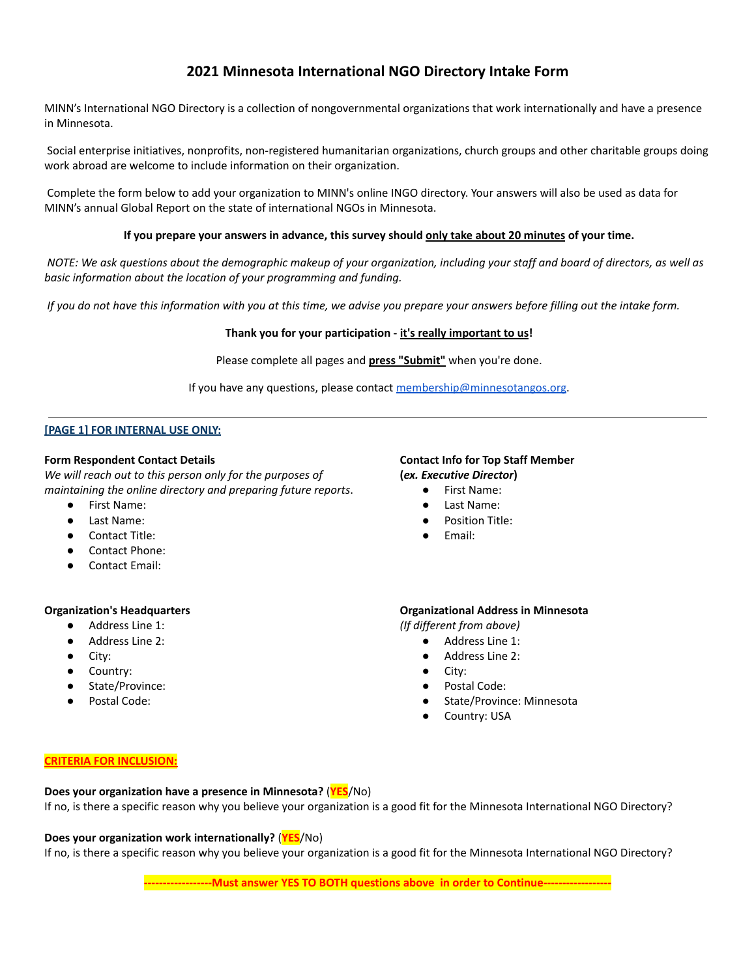# **2021 Minnesota International NGO Directory Intake Form**

MINN's International NGO Directory is a collection of nongovernmental organizations that work internationally and have a presence in Minnesota.

Social enterprise initiatives, nonprofits, non-registered humanitarian organizations, church groups and other charitable groups doing work abroad are welcome to include information on their organization.

Complete the form below to add your organization to MINN's online INGO directory. Your answers will also be used as data for MINN's annual Global Report on the state of international NGOs in Minnesota.

#### If you prepare your answers in advance, this survey should only take about 20 minutes of your time.

NOTE: We ask questions about the demographic makeup of your organization, including your staff and board of directors, as well as *basic information about the location of your programming and funding.*

If you do not have this information with you at this time, we advise you prepare your answers before filling out the intake form.

#### **Thank you for your participation - it's really important to us!**

Please complete all pages and **press "Submit"** when you're done.

If you have any questions, please contact [membership@minnesotangos.org.](mailto:membership@minnesotangos.org)

#### **[PAGE 1] FOR INTERNAL USE ONLY:**

#### **Form Respondent Contact Details**

*We will reach out to this person only for the purposes of maintaining the online directory and preparing future reports*.

- First Name:
- Last Name:
- Contact Title:
- Contact Phone:
- Contact Email:

#### **Organization's Headquarters**

- Address Line 1:
- Address Line 2:
- City:
- Country:
- State/Province:
- Postal Code:

# **Contact Info for Top Staff Member (***ex. Executive Director***)**

- First Name:
- Last Name:
- Position Title:
- Email:

#### **Organizational Address in Minnesota**

*(If different from above)*

- Address Line 1:
	- $\bullet$  Address Line 2:
	- City:
	- Postal Code:
	- State/Province: Minnesota
	- Country: USA

#### **CRITERIA FOR INCLUSION:**

**Does your organization have a presence in Minnesota?** (**YES**/No)

If no, is there a specific reason why you believe your organization is a good fit for the Minnesota International NGO Directory?

#### **Does your organization work internationally?** (**YES**/No)

If no, is there a specific reason why you believe your organization is a good fit for the Minnesota International NGO Directory?

**------------------Must answer YES TO BOTH questions above in order to Continue------------------**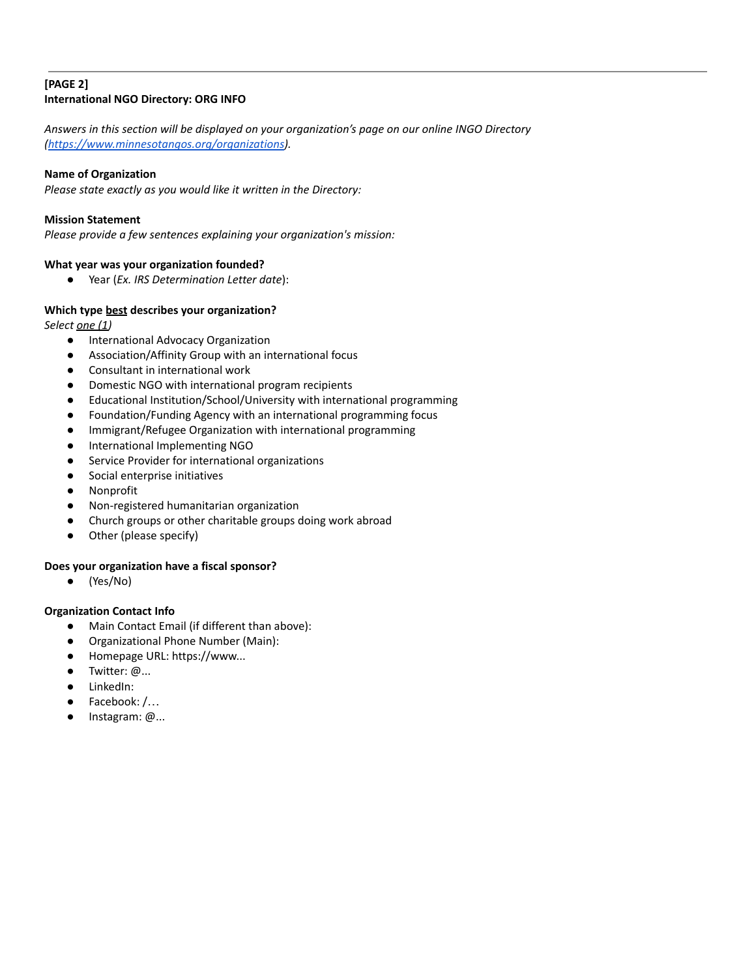## **[PAGE 2] International NGO Directory: ORG INFO**

*Answers in this section will be displayed on your organization's page on our online INGO Directory [\(https://www.minnesotangos.org/organizations](https://www.minnesotangos.org/organizations)).*

# **Name of Organization**

*Please state exactly as you would like it written in the Directory:*

#### **Mission Statement**

*Please provide a few sentences explaining your organization's mission:*

## **What year was your organization founded?**

● Year (*Ex. IRS Determination Letter date*):

## **Which type best describes your organization?**

*Select one (1)*

- International Advocacy Organization
- Association/Affinity Group with an international focus
- Consultant in international work
- Domestic NGO with international program recipients
- Educational Institution/School/University with international programming
- Foundation/Funding Agency with an international programming focus
- Immigrant/Refugee Organization with international programming
- International Implementing NGO
- Service Provider for international organizations
- Social enterprise initiatives
- Nonprofit
- Non-registered humanitarian organization
- Church groups or other charitable groups doing work abroad
- Other (please specify)

#### **Does your organization have a fiscal sponsor?**

● (Yes/No)

# **Organization Contact Info**

- Main Contact Email (if different than above):
- Organizational Phone Number (Main):
- Homepage URL: https://www...
- Twitter: @...
- LinkedIn:
- Facebook: /...
- Instagram: @...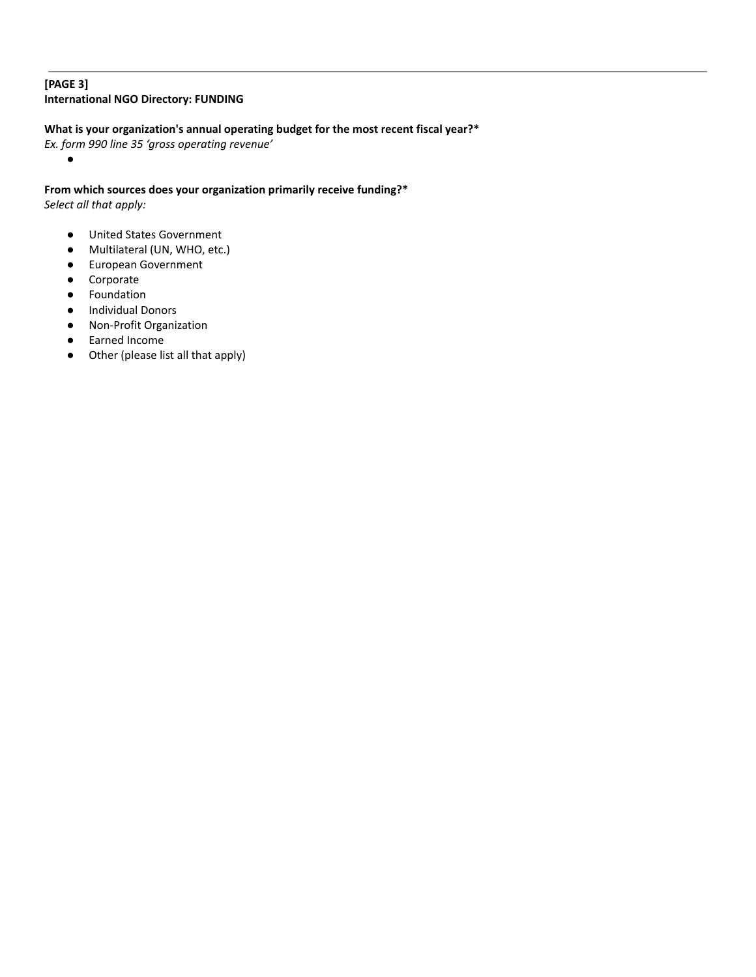# **[PAGE 3] International NGO Directory: FUNDING**

# **What is your organization's annual operating budget for the most recent fiscal year?\***

*Ex. form 990 line 35 'gross operating revenue'*

**From which sources does your organization primarily receive funding?\*** *Select all that apply:*

- United States Government
- Multilateral (UN, WHO, etc.)
- European Government
- Corporate

●

- Foundation
- Individual Donors
- Non-Profit Organization
- Earned Income
- Other (please list all that apply)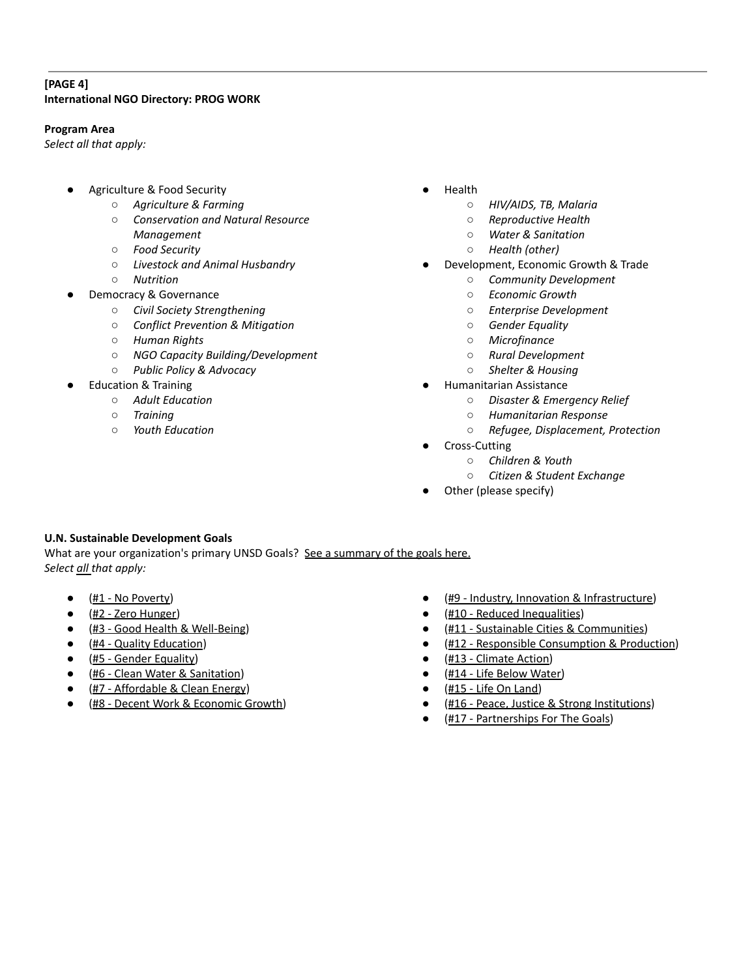# **[PAGE 4] International NGO Directory: PROG WORK**

#### **Program Area**

*Select all that apply:*

- Agriculture & Food Security
	- *○ Agriculture & Farming*
	- *○ Conservation and Natural Resource Management*
	- *○ Food Security*
	- *○ Livestock and Animal Husbandry*
	- *○ Nutrition*
- Democracy & Governance
	- *○ Civil Society Strengthening*
	- *○ Conflict Prevention & Mitigation*
	- *○ Human Rights*
	- *○ NGO Capacity Building/Development*
	- *○ Public Policy & Advocacy*
- **Education & Training** 
	- *○ Adult Education*
	- *○ Training*
	- *○ Youth Education*
- **Health** 
	- *○ HIV/AIDS, TB, Malaria*
	- *○ Reproductive Health*
	- *○ Water & Sanitation*
	- *○ Health (other)*
- Development, Economic Growth & Trade
	- *○ Community Development*
	- *○ Economic Growth*
	- *○ Enterprise Development*
	- *○ Gender Equality*
	- *○ Microfinance*
	- *○ Rural Development*
	- *○ Shelter & Housing*
- **Humanitarian Assistance** 
	- *○ Disaster & Emergency Relief*
	- *○ Humanitarian Response*
	- *○ Refugee, Displacement, Protection*
- Cross-Cutting
	- *○ Children & Youth*
	- *○ Citizen & Student Exchange*
- Other (please specify)

# **U.N. Sustainable Development Goals**

What are your organization's primary UNSD Goals? See a [summary](https://sustainabledevelopment.un.org/sdgs) of the goals here. *Select all that apply:*

- $\bullet$  (#1 No Poverty)
- (#2 Zero Hunger)
- (#3 Good Health & Well-Being)
- (#4 Quality Education)
- (#5 Gender Equality)
- (#6 Clean Water & Sanitation)
- $(H7 Affordable & Clean Energy)$
- (#8 Decent Work & Economic Growth)
- (#9 Industry, Innovation & Infrastructure)
- (#10 Reduced Inequalities)
- (#11 Sustainable Cities & Communities)
- (#12 Responsible Consumption & Production)
- (#13 Climate Action)
- (#14 Life Below Water)
- $(\text{\#15 Life On Land})$
- (#16 Peace, Justice & Strong Institutions)
- (#17 Partnerships For The Goals)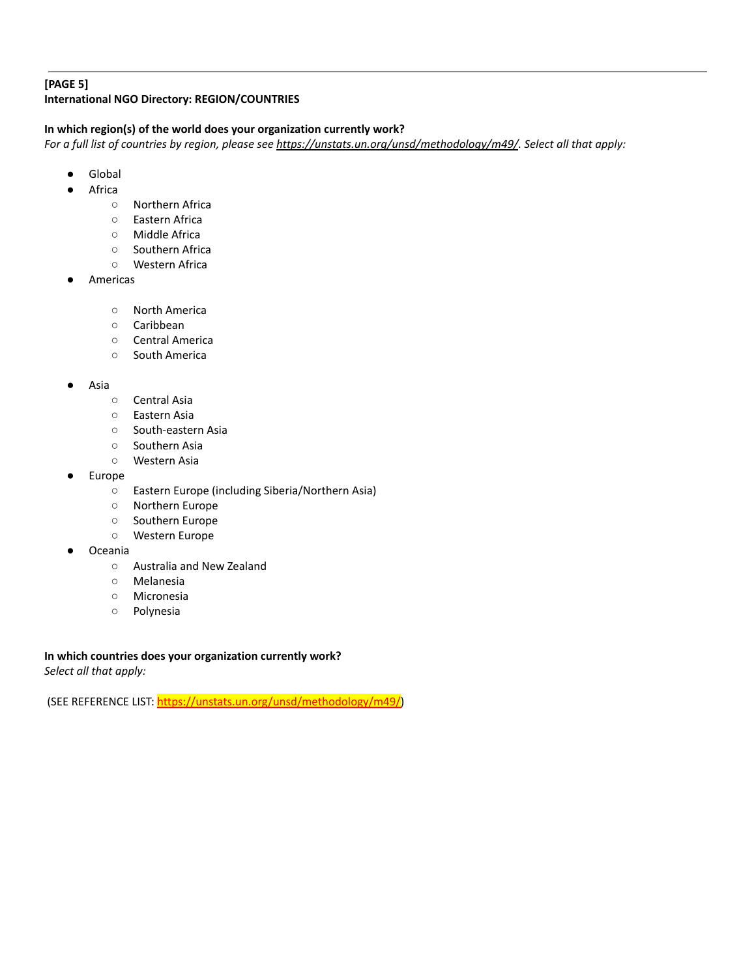### **[PAGE 5] International NGO Directory: REGION/COUNTRIES**

### **In which region(s) of the world does your organization currently work?**

For a full list of countries by region, please see <https://unstats.un.org/unsd/methodology/m49/>. Select all that apply:

- Global
- Africa
	- Northern Africa
	- Eastern Africa
	- Middle Africa
	- Southern Africa
	- Western Africa
- Americas
	- North America
	- Caribbean
	- Central America
	- South America
- Asia
	- Central Asia
	- Eastern Asia
	- South-eastern Asia
	- Southern Asia
	- Western Asia
- **Europe** 
	- Eastern Europe (including Siberia/Northern Asia)
	- Northern Europe
	- Southern Europe
	- Western Europe
- **Oceania** 
	- Australia and New Zealand
	- Melanesia
	- Micronesia
	- Polynesia

**In which countries does your organization currently work?** *Select all that apply:*

(SEE REFERENCE LIST: [https://unstats.un.org/unsd/methodology/m49/\)](https://unstats.un.org/unsd/methodology/m49/)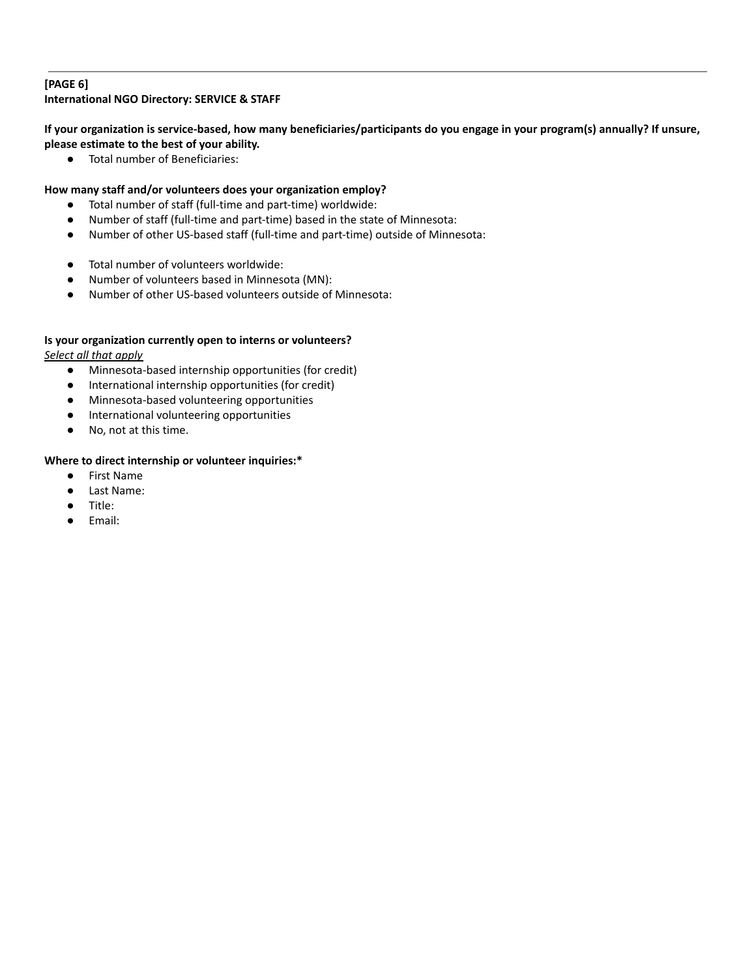### **[PAGE 6] International NGO Directory: SERVICE & STAFF**

If your organization is service-based, how many beneficiaries/participants do you engage in your program(s) annually? If unsure, **please estimate to the best of your ability.**

● Total number of Beneficiaries:

## **How many staff and/or volunteers does your organization employ?**

- Total number of staff (full-time and part-time) worldwide:
- Number of staff (full-time and part-time) based in the state of Minnesota:
- Number of other US-based staff (full-time and part-time) outside of Minnesota:
- Total number of volunteers worldwide:
- Number of volunteers based in Minnesota (MN):
- Number of other US-based volunteers outside of Minnesota:

## **Is your organization currently open to interns or volunteers?**

*Select all that apply*

- Minnesota-based internship opportunities (for credit)
- International internship opportunities (for credit)
- Minnesota-based volunteering opportunities
- International volunteering opportunities
- No, not at this time.

## **Where to direct internship or volunteer inquiries:\***

- First Name
- Last Name:
- Title:
- Email: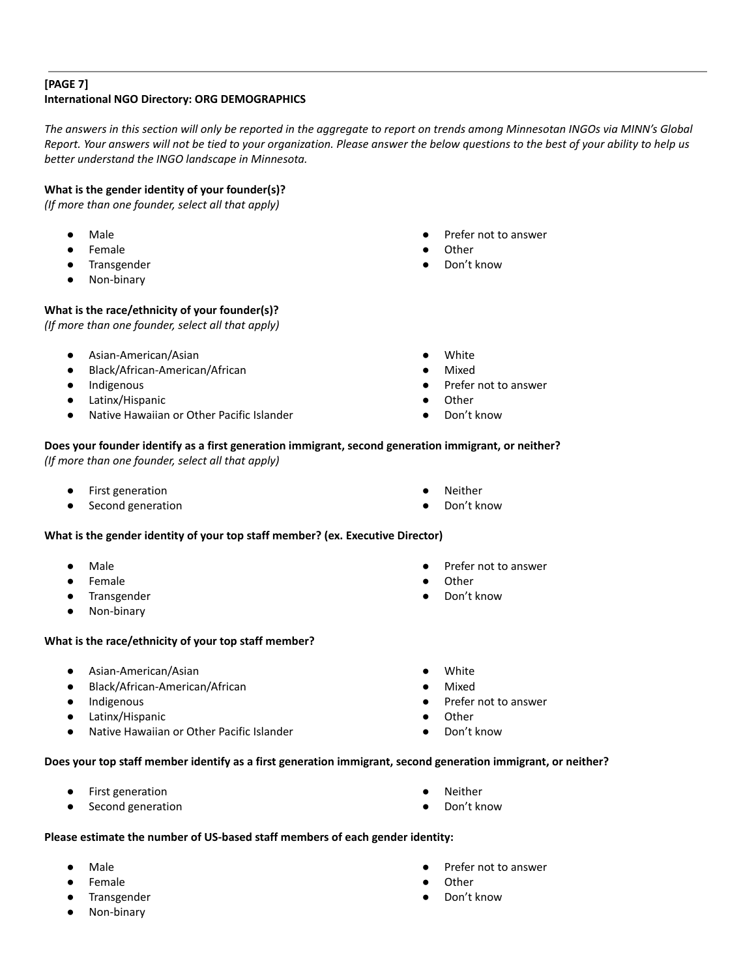# **[PAGE 7] International NGO Directory: ORG DEMOGRAPHICS**

The answers in this section will only be reported in the aggregate to report on trends among Minnesotan INGOs via MINN's Global Report. Your answers will not be tied to your organization. Please answer the below questions to the best of your ability to help us *better understand the INGO landscape in Minnesota.*

# **What is the gender identity of your founder(s)?**

*(If more than one founder, select all that apply)*

- **Male**
- **Female**
- Transgender
- Non-binary

## **What is the race/ethnicity of your founder(s)?**

*(If more than one founder, select all that apply)*

- Asian-American/Asian
- Black/African-American/African
- Indigenous
- Latinx/Hispanic
- Native Hawaiian or Other Pacific Islander
- Prefer not to answer
- **Other**
- Don't know
- **White**
- Mixed
- Prefer not to answer
- **Other**
- Don't know

**Neither** Don't know

#### **Does your founder identify as a first generation immigrant, second generation immigrant, or neither?** *(If more than one founder, select all that apply)*

- **First generation**
- Second generation

### **What is the gender identity of your top staff member? (ex. Executive Director)**

- **Male**
- **Female**
- **Transgender**
- Non-binary

#### **What is the race/ethnicity of your top staff member?**

- Asian-American/Asian
- Black/African-American/African
- **Indigenous**
- Latinx/Hispanic
- Native Hawaiian or Other Pacific Islander
- Prefer not to answer
- Other
- Don't know
- White
- **Mixed**
- Prefer not to answer
- **Other**
- Don't know

#### **Does your top staff member identify as a first generation immigrant, second generation immigrant, or neither?**

- First generation
- Second generation
- Neither
- Don't know

#### **Please estimate the number of US-based staff members of each gender identity:**

- **Male**
- **Female**
- **Transgender**
- Non-binary
- Prefer not to answer
- **Other** 
	- Don't know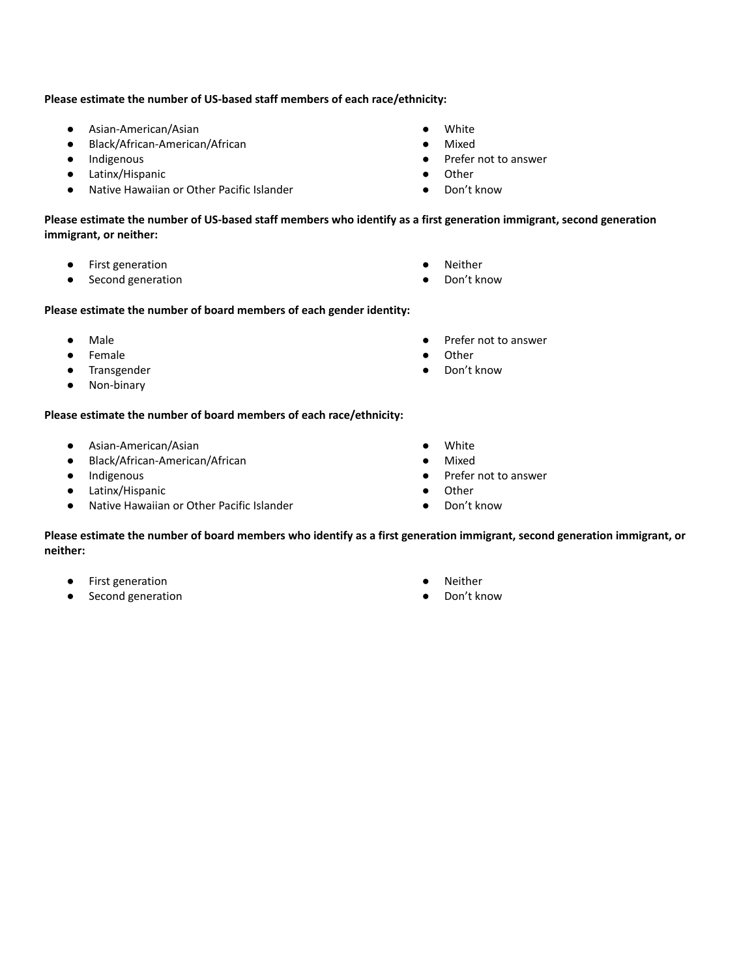#### **Please estimate the number of US-based staff members of each race/ethnicity:**

- Asian-American/Asian
- Black/African-American/African
- Indigenous
- Latinx/Hispanic
- Native Hawaiian or Other Pacific Islander
- White
- **Mixed**
- Prefer not to answer
- Other
- Don't know

Please estimate the number of US-based staff members who identify as a first generation immigrant, second generation **immigrant, or neither:**

- First generation
- Second generation
- Neither
- Don't know

#### **Please estimate the number of board members of each gender identity:**

- Male
- **Female**
- Transgender
- Non-binary

# **Please estimate the number of board members of each race/ethnicity:**

- Asian-American/Asian
- Black/African-American/African
- Indigenous
- Latinx/Hispanic
- Native Hawaiian or Other Pacific Islander
- Prefer not to answer
- **Other**
- Don't know
- White
- **Mixed**
- Prefer not to answer
- Other
- Don't know

Please estimate the number of board members who identify as a first generation immigrant, second generation immigrant, or **neither:**

- First generation
- Second generation
- **Neither**
- Don't know